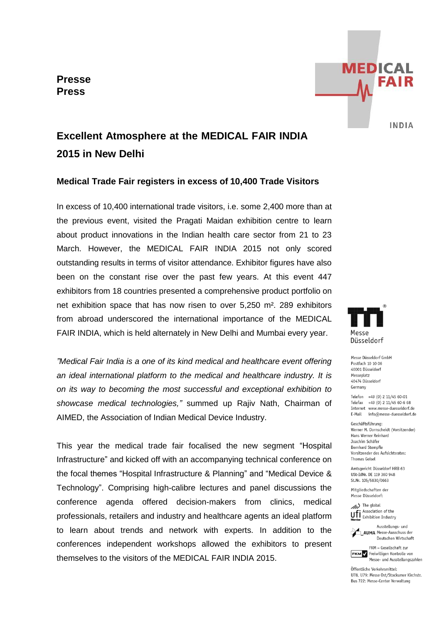**Presse Press**



# **Excellent Atmosphere at the MEDICAL FAIR INDIA 2015 in New Delhi**

## **Medical Trade Fair registers in excess of 10,400 Trade Visitors**

In excess of 10,400 international trade visitors, i.e. some 2,400 more than at the previous event, visited the Pragati Maidan exhibition centre to learn about product innovations in the Indian health care sector from 21 to 23 March. However, the MEDICAL FAIR INDIA 2015 not only scored outstanding results in terms of visitor attendance. Exhibitor figures have also been on the constant rise over the past few years. At this event 447 exhibitors from 18 countries presented a comprehensive product portfolio on net exhibition space that has now risen to over 5,250 m². 289 exhibitors from abroad underscored the international importance of the MEDICAL FAIR INDIA, which is held alternately in New Delhi and Mumbai every year.

*"Medical Fair India is a one of its kind medical and healthcare event offering an ideal international platform to the medical and healthcare industry. It is on its way to becoming the most successful and exceptional exhibition to showcase medical technologies,"* summed up Rajiv Nath, Chairman of AIMED, the Association of Indian Medical Device Industry.

This year the medical trade fair focalised the new segment "Hospital Infrastructure" and kicked off with an accompanying technical conference on the focal themes "Hospital Infrastructure & Planning" and "Medical Device & Technology". Comprising high-calibre lectures and panel discussions the conference agenda offered decision-makers from clinics, medical professionals, retailers and industry and healthcare agents an ideal platform to learn about trends and network with experts. In addition to the conferences independent workshops allowed the exhibitors to present themselves to the visitors of the MEDICAL FAIR INDIA 2015.



Messe Düsseldorf GmbH Postfach 10 10 06 40001 Diisseldorf Messeplatz 40474 Düsseldorf Germany

Telefon +49 (0) 2 11/45 60-01 Telefax +49 (0) 2 11/45 60-6 68 Internet www.messe-duesseldorf.de E-Mail info@messe-duesseldorf.de

Geschäftsführung: Werner M. Dornscheidt (Vorsitzender) Hans Werner Reinhard Joachim Schäfer Bernhard Stempfle Vorsitzender des Aufsichtsrates: **Thomas Geisel** 

Amtsgericht Düsseldorf HRB 63 USt-IdNr. DE 119 360 948 St.Nr. 105/5830/0663

Mitaliedschaften der Messe Düsseldorf:

The global Uff Association of the



Deutschen Wirtschaft FKM - Gesellschaft zur **FKM** / Freiwilligen Kontrolle von

Messe- und Ausstellungszahlen Öffentliche Verkehrsmittel: 1178 1179: Messe Ost/Stockumer Kirchstr.

Bus 722: Messe-Center Verwaltung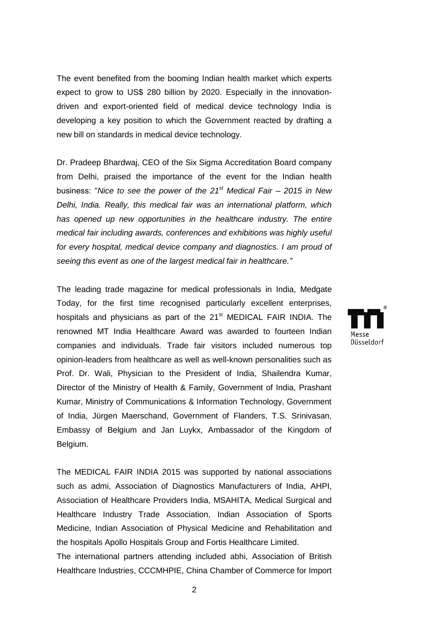The event benefited from the booming Indian health market which experts expect to grow to US\$ 280 billion by 2020. Especially in the innovationdriven and export-oriented field of medical device technology India is developing a key position to which the Government reacted by drafting a new bill on standards in medical device technology.

Dr. Pradeep Bhardwaj, CEO of the Six Sigma Accreditation Board company from Delhi, praised the importance of the event for the Indian health business: "*Nice to see the power of the 21st Medical Fair – 2015 in New Delhi, India. Really, this medical fair was an international platform, which has opened up new opportunities in the healthcare industry. The entire medical fair including awards, conferences and exhibitions was highly useful for every hospital, medical device company and diagnostics. I am proud of seeing this event as one of the largest medical fair in healthcare."*

The leading trade magazine for medical professionals in India, Medgate Today, for the first time recognised particularly excellent enterprises, hospitals and physicians as part of the 21<sup>st</sup> MEDICAL FAIR INDIA. The renowned MT India Healthcare Award was awarded to fourteen Indian companies and individuals. Trade fair visitors included numerous top opinion-leaders from healthcare as well as well-known personalities such as Prof. Dr. Wali, Physician to the President of India, Shailendra Kumar, Director of the Ministry of Health & Family, Government of India, Prashant Kumar, Ministry of Communications & Information Technology, Government of India, Jürgen Maerschand, Government of Flanders, T.S. Srinivasan, Embassy of Belgium and Jan Luykx, Ambassador of the Kingdom of Belgium.

The MEDICAL FAIR INDIA 2015 was supported by national associations such as admi, Association of Diagnostics Manufacturers of India, AHPI, Association of Healthcare Providers India, MSAHITA, Medical Surgical and Healthcare Industry Trade Association, Indian Association of Sports Medicine, Indian Association of Physical Medicine and Rehabilitation and the hospitals Apollo Hospitals Group and Fortis Healthcare Limited.

The international partners attending included abhi, Association of British Healthcare Industries, CCCMHPIE, China Chamber of Commerce for Import